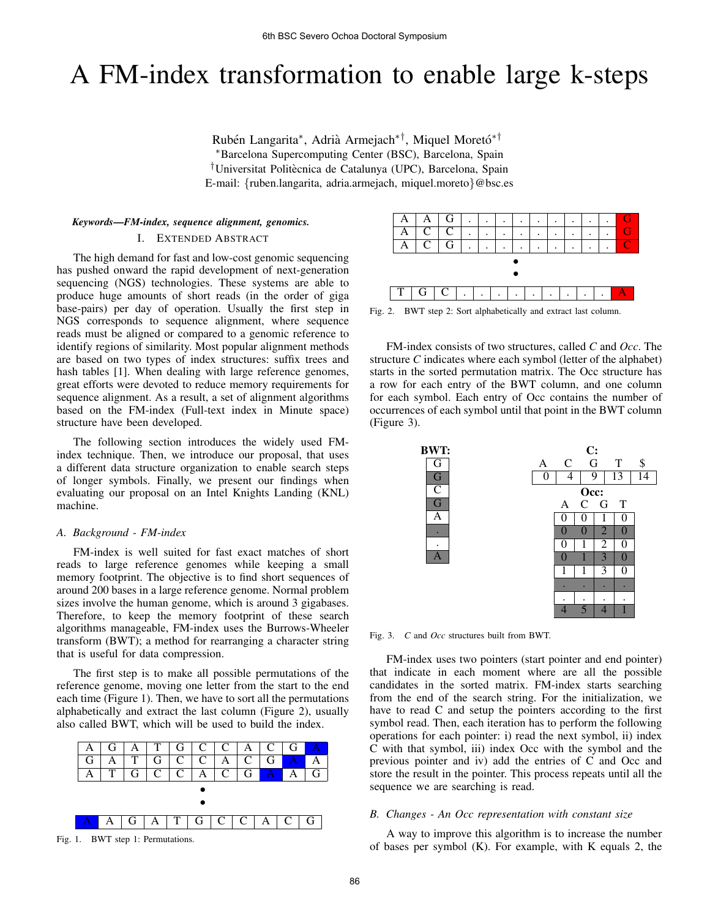# A FM-index transformation to enable large k-steps

Rubén Langarita\*, Adrià Armejach\*<sup>†</sup>, Miquel Moretó\*<sup>†</sup> <sup>∗</sup>Barcelona Supercomputing Center (BSC), Barcelona, Spain <sup>†</sup>Universitat Politècnica de Catalunya (UPC), Barcelona, Spain E-mail: {ruben.langarita, adria.armejach, miquel.moreto}@bsc.es

## *Keywords*—*FM-index, sequence alignment, genomics.* I. EXTENDED ABSTRACT

The high demand for fast and low-cost genomic sequencing has pushed onward the rapid development of next-generation sequencing (NGS) technologies. These systems are able to produce huge amounts of short reads (in the order of giga base-pairs) per day of operation. Usually the first step in NGS corresponds to sequence alignment, where sequence reads must be aligned or compared to a genomic reference to identify regions of similarity. Most popular alignment methods are based on two types of index structures: suffix trees and hash tables [1]. When dealing with large reference genomes, great efforts were devoted to reduce memory requirements for sequence alignment. As a result, a set of alignment algorithms based on the FM-index (Full-text index in Minute space) structure have been developed.

The following section introduces the widely used FMindex technique. Then, we introduce our proposal, that uses a different data structure organization to enable search steps of longer symbols. Finally, we present our findings when evaluating our proposal on an Intel Knights Landing (KNL) machine.

## *A. Background - FM-index*

FM-index is well suited for fast exact matches of short reads to large reference genomes while keeping a small memory footprint. The objective is to find short sequences of around 200 bases in a large reference genome. Normal problem sizes involve the human genome, which is around 3 gigabases. Therefore, to keep the memory footprint of these search algorithms manageable, FM-index uses the Burrows-Wheeler transform (BWT); a method for rearranging a character string that is useful for data compression.

The first step is to make all possible permutations of the reference genome, moving one letter from the start to the end each time (Figure 1). Then, we have to sort all the permutations alphabetically and extract the last column (Figure 2), usually also called BWT, which will be used to build the index.







Fig. 2. BWT step 2: Sort alphabetically and extract last column.

FM-index consists of two structures, called *C* and *Occ*. The structure *C* indicates where each symbol (letter of the alphabet) starts in the sorted permutation matrix. The Occ structure has a row for each entry of the BWT column, and one column for each symbol. Each entry of Occ contains the number of occurrences of each symbol until that point in the BWT column (Figure 3).



Fig. 3. *C* and *Occ* structures built from BWT.

FM-index uses two pointers (start pointer and end pointer) that indicate in each moment where are all the possible candidates in the sorted matrix. FM-index starts searching from the end of the search string. For the initialization, we have to read C and setup the pointers according to the first symbol read. Then, each iteration has to perform the following operations for each pointer: i) read the next symbol, ii) index C with that symbol, iii) index Occ with the symbol and the previous pointer and iv) add the entries of C and Occ and store the result in the pointer. This process repeats until all the sequence we are searching is read.

### *B. Changes - An Occ representation with constant size*

A way to improve this algorithm is to increase the number of bases per symbol (K). For example, with K equals 2, the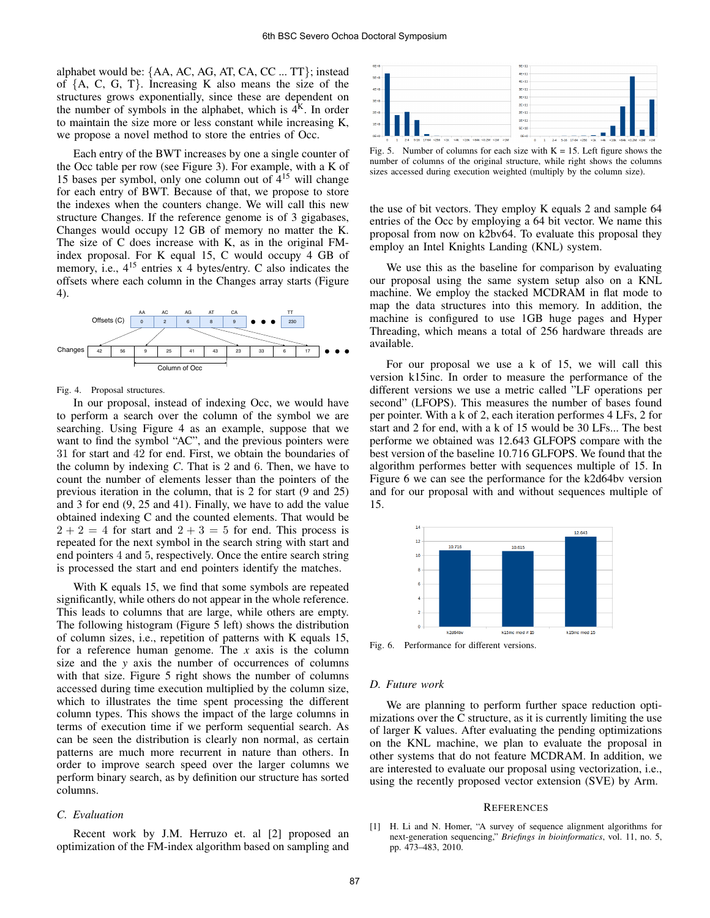alphabet would be: {AA, AC, AG, AT, CA, CC ... TT}; instead of  ${A, C, G, T}$ . Increasing K also means the size of the structures grows exponentially, since these are dependent on the number of symbols in the alphabet, which is  $4<sup>K</sup>$ . In order to maintain the size more or less constant while increasing K, we propose a novel method to store the entries of Occ.

Each entry of the BWT increases by one a single counter of the Occ table per row (see Figure 3). For example, with a K of 15 bases per symbol, only one column out of  $4^{15}$  will change for each entry of BWT. Because of that, we propose to store the indexes when the counters change. We will call this new structure Changes. If the reference genome is of 3 gigabases, Changes would occupy 12 GB of memory no matter the K. The size of C does increase with K, as in the original FMindex proposal. For K equal 15, C would occupy 4 GB of memory, i.e.,  $4^{15}$  entries x 4 bytes/entry. C also indicates the offsets where each column in the Changes array starts (Figure 4).



Fig. 4. Proposal structures.

In our proposal, instead of indexing Occ, we would have to perform a search over the column of the symbol we are searching. Using Figure 4 as an example, suppose that we want to find the symbol "AC", and the previous pointers were 31 for start and 42 for end. First, we obtain the boundaries of the column by indexing *C*. That is 2 and 6. Then, we have to count the number of elements lesser than the pointers of the previous iteration in the column, that is 2 for start (9 and 25) and 3 for end (9, 25 and 41). Finally, we have to add the value obtained indexing C and the counted elements. That would be  $2 + 2 = 4$  for start and  $2 + 3 = 5$  for end. This process is repeated for the next symbol in the search string with start and end pointers 4 and 5, respectively. Once the entire search string is processed the start and end pointers identify the matches.

With K equals 15, we find that some symbols are repeated significantly, while others do not appear in the whole reference. This leads to columns that are large, while others are empty. The following histogram (Figure 5 left) shows the distribution of column sizes, i.e., repetition of patterns with K equals 15, for a reference human genome. The *x* axis is the column size and the *y* axis the number of occurrences of columns with that size. Figure 5 right shows the number of columns accessed during time execution multiplied by the column size, which to illustrates the time spent processing the different column types. This shows the impact of the large columns in terms of execution time if we perform sequential search. As can be seen the distribution is clearly non normal, as certain patterns are much more recurrent in nature than others. In order to improve search speed over the larger columns we perform binary search, as by definition our structure has sorted columns.

### *C. Evaluation*

Recent work by J.M. Herruzo et. al [2] proposed an optimization of the FM-index algorithm based on sampling and



Fig. 5. Number of columns for each size with  $K = 15$ . Left figure shows the number of columns of the original structure, while right shows the columns sizes accessed during execution weighted (multiply by the column size).

the use of bit vectors. They employ K equals 2 and sample 64 entries of the Occ by employing a 64 bit vector. We name this proposal from now on k2bv64. To evaluate this proposal they employ an Intel Knights Landing (KNL) system.

We use this as the baseline for comparison by evaluating our proposal using the same system setup also on a KNL machine. We employ the stacked MCDRAM in flat mode to map the data structures into this memory. In addition, the machine is configured to use 1GB huge pages and Hyper Threading, which means a total of 256 hardware threads are available.

For our proposal we use a k of 15, we will call this version k15inc. In order to measure the performance of the different versions we use a metric called "LF operations per second" (LFOPS). This measures the number of bases found per pointer. With a k of 2, each iteration performes 4 LFs, 2 for start and 2 for end, with a k of 15 would be 30 LFs... The best performe we obtained was 12.643 GLFOPS compare with the best version of the baseline 10.716 GLFOPS. We found that the algorithm performes better with sequences multiple of 15. In Figure 6 we can see the performance for the k2d64bv version and for our proposal with and without sequences multiple of 15.



Fig. 6. Performance for different versions.

#### *D. Future work*

We are planning to perform further space reduction optimizations over the C structure, as it is currently limiting the use of larger K values. After evaluating the pending optimizations on the KNL machine, we plan to evaluate the proposal in other systems that do not feature MCDRAM. In addition, we are interested to evaluate our proposal using vectorization, i.e., using the recently proposed vector extension (SVE) by Arm.

#### **REFERENCES**

[1] H. Li and N. Homer, "A survey of sequence alignment algorithms for next-generation sequencing," *Briefings in bioinformatics*, vol. 11, no. 5, pp. 473–483, 2010.